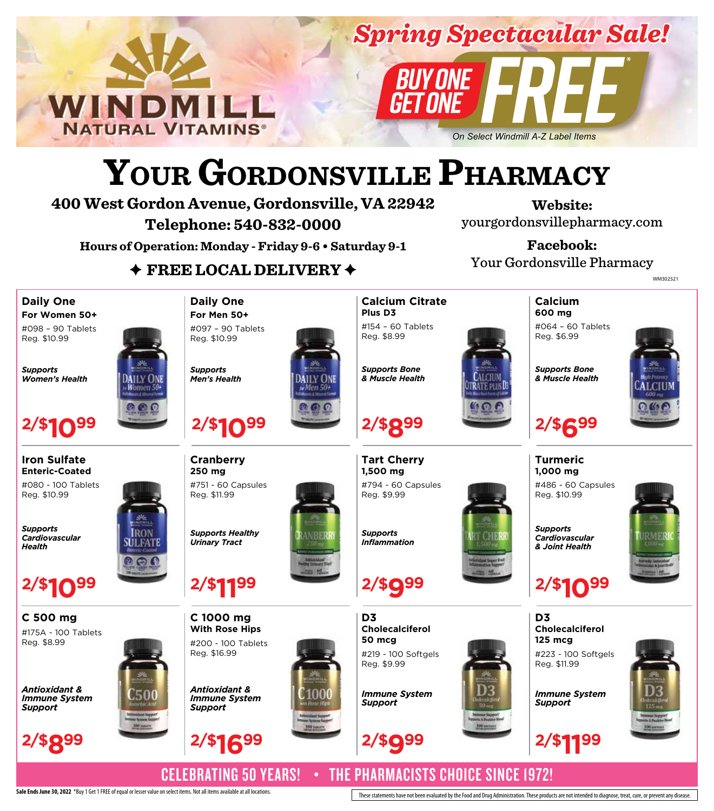

# *Spring Spectacular Sale!*

*On Select Windmill A-Z Label Items*

# **YOUR GORDONSVILLE PHARMACY**

**400 West Gordon Avenue, Gordonsville, VA 22942 Telephone: 540-832-0000**

**Website:** yourgordonsvillepharmacy.com

**Hours of Operation: Monday - Friday 9-6 • Saturday 9-1**

**Facebook:** Your Gordonsville Pharmacy

**GN4848113** WM302521

# ✦ **FREE LOCAL DELIVERY** ✦

**Daily One For Women 50+** #098 – 90 Tablets

Reg. \$10.99

*Supports Women's Health*



**Iron Sulfate Enteric-Coated** #080 - 100 Tablets

Reg. \$10.99

*Supports Cardiovascular Health*





*Antioxidant & Immune System Support*





**C 1000 mg With Rose Hips** #200 - 100 Tablets Reg. \$16.99

**2/\$1199**

*Supports Healthy Urinary Tract*

**2/\$1099**

#751 - 60 Capsules

**Cranberry 250 mg**

Reg. \$11.99

*Supports Men's Health*

**Daily One For Men 50+** #097 – 90 Tablets Reg. \$10.99







**Calcium Citrate Plus D3** #154 – 60 Tablets

Reg. \$8.99

*Supports Bone*



**600 mg** #064 – 60 Tablets Reg. \$6.99

**Calcium**

*Supports Bone & Muscle Health*

**2/\$699**

**Turmeric 1,000 mg**

#486 - 60 Capsules Reg. \$10.99



*Supports Cardiovascular & Joint Health*



**D3 Cholecalciferol 125 mcg** #223 - 100 Softgels Reg. \$11.99

*Immune System Support*



CELEBRATING 50 YEARS! • THE PHARMACISTS CHOICE SINCE 1972!

Sale Ends June 30, 2022 \*Buy 1 Get 1 FREE of equal or lesser value on select items. Not all items available at all locations.

**2/\$899**





*& Muscle Health*

**Tart Cherry 1,500 mg** #794 - 60 Capsules





Reg. \$9.99

*Supports Inflammation*



**D3 Cholecalciferol 50 mcg** #219 - 100 Softgels Reg. \$9.99



*Immune System*

*Support*













**2/\$999 2/\$1199**